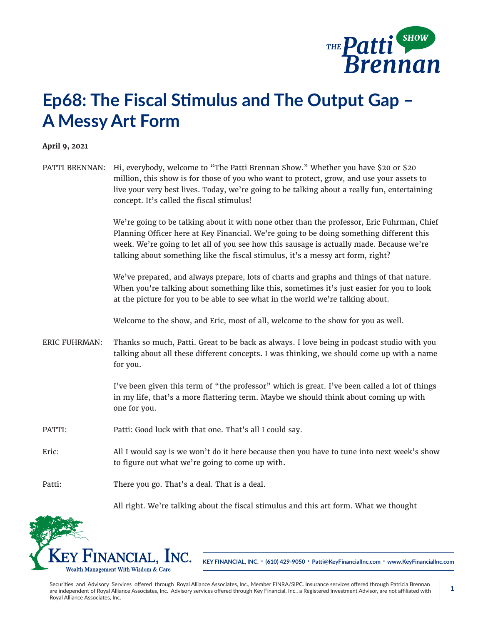

## **Ep68: The Fiscal Stimulus and The Output Gap – A Messy Art Form**

## **April 9, 2021**

PATTI BRENNAN: Hi, everybody, welcome to "The Patti Brennan Show." Whether you have \$20 or \$20 million, this show is for those of you who want to protect, grow, and use your assets to live your very best lives. Today, we're going to be talking about a really fun, entertaining concept. It's called the fiscal stimulus!

> We're going to be talking about it with none other than the professor, Eric Fuhrman, Chief Planning Officer here at Key Financial. We're going to be doing something different this week. We're going to let all of you see how this sausage is actually made. Because we're talking about something like the fiscal stimulus, it's a messy art form, right?

We've prepared, and always prepare, lots of charts and graphs and things of that nature. When you're talking about something like this, sometimes it's just easier for you to look at the picture for you to be able to see what in the world we're talking about.

Welcome to the show, and Eric, most of all, welcome to the show for you as well.

ERIC FUHRMAN: Thanks so much, Patti. Great to be back as always. I love being in podcast studio with you talking about all these different concepts. I was thinking, we should come up with a name for you.

> I've been given this term of "the professor" which is great. I've been called a lot of things in my life, that's a more flattering term. Maybe we should think about coming up with one for you.

- PATTI: Patti: Good luck with that one. That's all I could say.
- Eric: All I would say is we won't do it here because then you have to tune into next week's show to figure out what we're going to come up with.

Patti: There you go. That's a deal. That is a deal.

All right. We're talking about the fiscal stimulus and this art form. What we thought



**KEY FINANCIAL, INC. • (610) 429-9050 • Patti@KeyFinancialInc.com • www.KeyFinancialInc.com**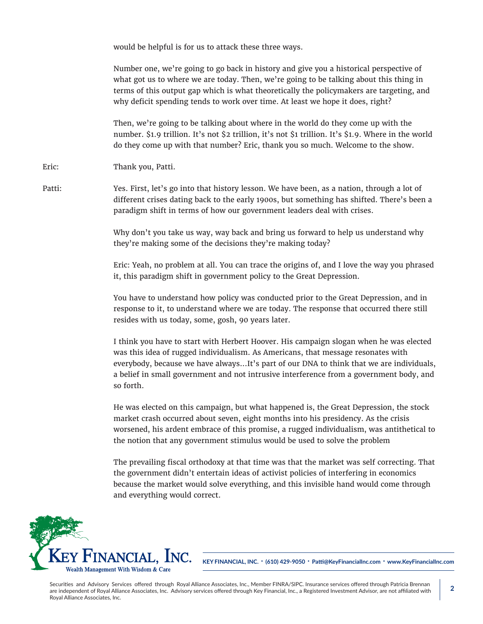would be helpful is for us to attack these three ways.

Number one, we're going to go back in history and give you a historical perspective of what got us to where we are today. Then, we're going to be talking about this thing in terms of this output gap which is what theoretically the policymakers are targeting, and why deficit spending tends to work over time. At least we hope it does, right?

Then, we're going to be talking about where in the world do they come up with the number. \$1.9 trillion. It's not \$2 trillion, it's not \$1 trillion. It's \$1.9. Where in the world do they come up with that number? Eric, thank you so much. Welcome to the show.

Eric: Thank you, Patti.

Patti: Yes. First, let's go into that history lesson. We have been, as a nation, through a lot of different crises dating back to the early 1900s, but something has shifted. There's been a paradigm shift in terms of how our government leaders deal with crises.

> Why don't you take us way, way back and bring us forward to help us understand why they're making some of the decisions they're making today?

Eric: Yeah, no problem at all. You can trace the origins of, and I love the way you phrased it, this paradigm shift in government policy to the Great Depression.

You have to understand how policy was conducted prior to the Great Depression, and in response to it, to understand where we are today. The response that occurred there still resides with us today, some, gosh, 90 years later.

I think you have to start with Herbert Hoover. His campaign slogan when he was elected was this idea of rugged individualism. As Americans, that message resonates with everybody, because we have always...It's part of our DNA to think that we are individuals, a belief in small government and not intrusive interference from a government body, and so forth.

He was elected on this campaign, but what happened is, the Great Depression, the stock market crash occurred about seven, eight months into his presidency. As the crisis worsened, his ardent embrace of this promise, a rugged individualism, was antithetical to the notion that any government stimulus would be used to solve the problem

The prevailing fiscal orthodoxy at that time was that the market was self correcting. That the government didn't entertain ideas of activist policies of interfering in economics because the market would solve everything, and this invisible hand would come through and everything would correct.



**KEY FINANCIAL, INC. • (610) 429-9050 • Patti@KeyFinancialInc.com • www.KeyFinancialInc.com**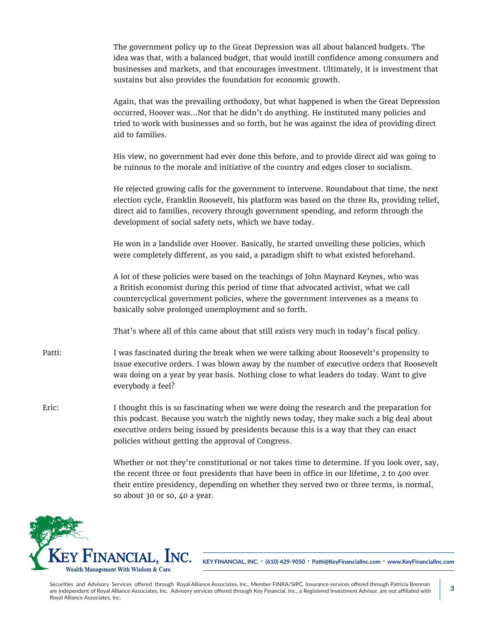The government policy up to the Great Depression was all about balanced budgets. The idea was that, with a balanced budget, that would instill confidence among consumers and businesses and markets, and that encourages investment. Ultimately, it is investment that sustains but also provides the foundation for economic growth.

Again, that was the prevailing orthodoxy, but what happened is when the Great Depression occurred, Hoover was...Not that he didn't do anything. He instituted many policies and tried to work with businesses and so forth, but he was against the idea of providing direct aid to families.

His view, no government had ever done this before, and to provide direct aid was going to be ruinous to the morale and initiative of the country and edges closer to socialism.

He rejected growing calls for the government to intervene. Roundabout that time, the next election cycle, Franklin Roosevelt, his platform was based on the three Rs, providing relief, direct aid to families, recovery through government spending, and reform through the development of social safety nets, which we have today.

He won in a landslide over Hoover. Basically, he started unveiling these policies, which were completely different, as you said, a paradigm shift to what existed beforehand.

A lot of these policies were based on the teachings of John Maynard Keynes, who was a British economist during this period of time that advocated activist, what we call countercyclical government policies, where the government intervenes as a means to basically solve prolonged unemployment and so forth.

That's where all of this came about that still exists very much in today's fiscal policy.

- Patti: I was fascinated during the break when we were talking about Roosevelt's propensity to issue executive orders. I was blown away by the number of executive orders that Roosevelt was doing on a year by year basis. Nothing close to what leaders do today. Want to give everybody a feel?
- Eric: I thought this is so fascinating when we were doing the research and the preparation for this podcast. Because you watch the nightly news today, they make such a big deal about executive orders being issued by presidents because this is a way that they can enact policies without getting the approval of Congress.

Whether or not they're constitutional or not takes time to determine. If you look over, say, the recent three or four presidents that have been in office in our lifetime, 2 to 400 over their entire presidency, depending on whether they served two or three terms, is normal, so about 30 or so, 40 a year.



**KEY FINANCIAL, INC. • (610) 429-9050 • Patti@KeyFinancialInc.com • www.KeyFinancialInc.com**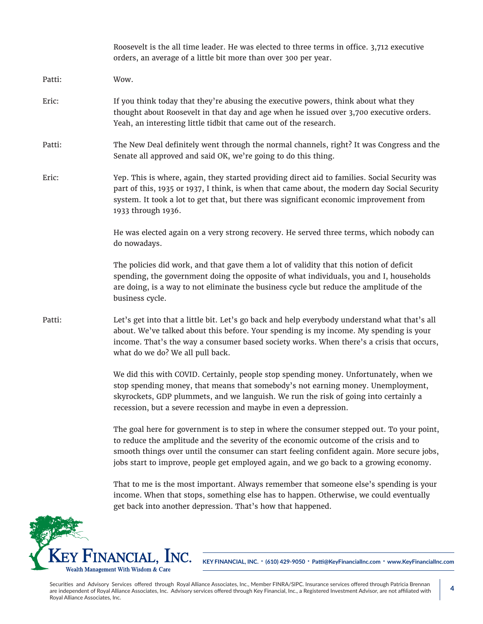|        | Roosevelt is the all time leader. He was elected to three terms in office. 3,712 executive<br>orders, an average of a little bit more than over 300 per year.                                                                                                                                                                                                              |
|--------|----------------------------------------------------------------------------------------------------------------------------------------------------------------------------------------------------------------------------------------------------------------------------------------------------------------------------------------------------------------------------|
| Patti: | Wow.                                                                                                                                                                                                                                                                                                                                                                       |
| Eric:  | If you think today that they're abusing the executive powers, think about what they<br>thought about Roosevelt in that day and age when he issued over 3,700 executive orders.<br>Yeah, an interesting little tidbit that came out of the research.                                                                                                                        |
| Patti: | The New Deal definitely went through the normal channels, right? It was Congress and the<br>Senate all approved and said OK, we're going to do this thing.                                                                                                                                                                                                                 |
| Eric:  | Yep. This is where, again, they started providing direct aid to families. Social Security was<br>part of this, 1935 or 1937, I think, is when that came about, the modern day Social Security<br>system. It took a lot to get that, but there was significant economic improvement from<br>1933 through 1936.                                                              |
|        | He was elected again on a very strong recovery. He served three terms, which nobody can<br>do nowadays.                                                                                                                                                                                                                                                                    |
|        | The policies did work, and that gave them a lot of validity that this notion of deficit<br>spending, the government doing the opposite of what individuals, you and I, households<br>are doing, is a way to not eliminate the business cycle but reduce the amplitude of the<br>business cycle.                                                                            |
| Patti: | Let's get into that a little bit. Let's go back and help everybody understand what that's all<br>about. We've talked about this before. Your spending is my income. My spending is your<br>income. That's the way a consumer based society works. When there's a crisis that occurs,<br>what do we do? We all pull back.                                                   |
|        | We did this with COVID. Certainly, people stop spending money. Unfortunately, when we<br>stop spending money, that means that somebody's not earning money. Unemployment,<br>skyrockets, GDP plummets, and we languish. We run the risk of going into certainly a<br>recession, but a severe recession and maybe in even a depression.                                     |
|        | The goal here for government is to step in where the consumer stepped out. To your point,<br>to reduce the amplitude and the severity of the economic outcome of the crisis and to<br>smooth things over until the consumer can start feeling confident again. More secure jobs,<br>jobs start to improve, people get employed again, and we go back to a growing economy. |
|        | That to me is the most important. Always remember that someone else's spending is your<br>income. When that stops, something else has to happen. Otherwise, we could eventually<br>get back into another depression. That's how that happened.                                                                                                                             |
|        |                                                                                                                                                                                                                                                                                                                                                                            |

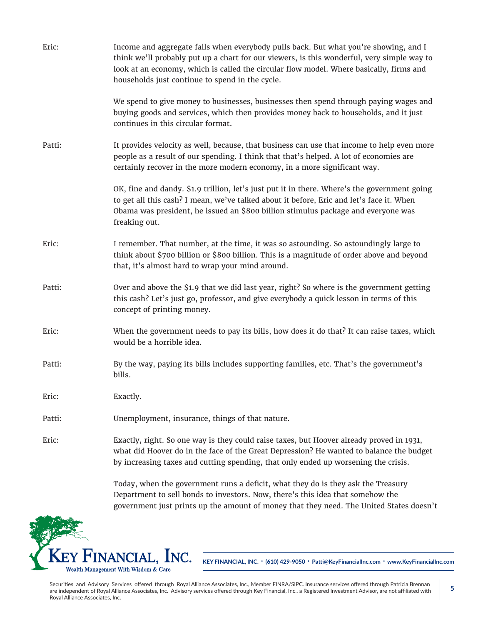| Eric:  | Income and aggregate falls when everybody pulls back. But what you're showing, and I<br>think we'll probably put up a chart for our viewers, is this wonderful, very simple way to<br>look at an economy, which is called the circular flow model. Where basically, firms and<br>households just continue to spend in the cycle. |
|--------|----------------------------------------------------------------------------------------------------------------------------------------------------------------------------------------------------------------------------------------------------------------------------------------------------------------------------------|
|        | We spend to give money to businesses, businesses then spend through paying wages and<br>buying goods and services, which then provides money back to households, and it just<br>continues in this circular format.                                                                                                               |
| Patti: | It provides velocity as well, because, that business can use that income to help even more<br>people as a result of our spending. I think that that's helped. A lot of economies are<br>certainly recover in the more modern economy, in a more significant way.                                                                 |
|        | OK, fine and dandy. \$1.9 trillion, let's just put it in there. Where's the government going<br>to get all this cash? I mean, we've talked about it before, Eric and let's face it. When<br>Obama was president, he issued an \$800 billion stimulus package and everyone was<br>freaking out.                                   |
| Eric:  | I remember. That number, at the time, it was so astounding. So astoundingly large to<br>think about \$700 billion or \$800 billion. This is a magnitude of order above and beyond<br>that, it's almost hard to wrap your mind around.                                                                                            |
| Patti: | Over and above the \$1.9 that we did last year, right? So where is the government getting<br>this cash? Let's just go, professor, and give everybody a quick lesson in terms of this<br>concept of printing money.                                                                                                               |
| Eric:  | When the government needs to pay its bills, how does it do that? It can raise taxes, which<br>would be a horrible idea.                                                                                                                                                                                                          |
| Patti: | By the way, paying its bills includes supporting families, etc. That's the government's<br>bills.                                                                                                                                                                                                                                |
| Eric:  | Exactly.                                                                                                                                                                                                                                                                                                                         |
| Patti: | Unemployment, insurance, things of that nature.                                                                                                                                                                                                                                                                                  |
| Eric:  | Exactly, right. So one way is they could raise taxes, but Hoover already proved in 1931,<br>what did Hoover do in the face of the Great Depression? He wanted to balance the budget<br>by increasing taxes and cutting spending, that only ended up worsening the crisis.                                                        |
|        | Today, when the government runs a deficit, what they do is they ask the Treasury<br>Department to sell bonds to investors. Now, there's this idea that somehow the                                                                                                                                                               |

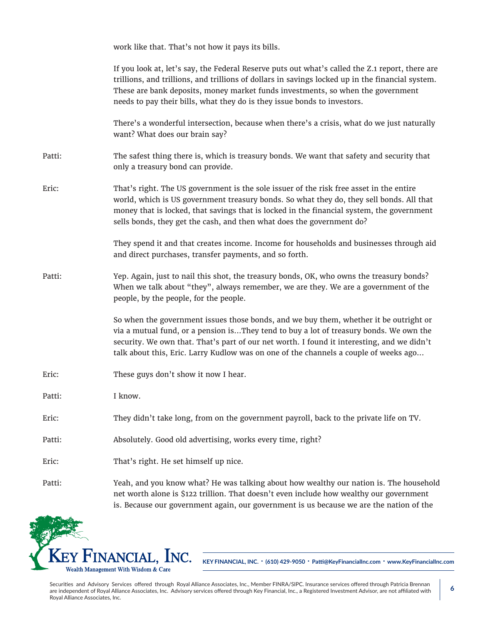|        | work like that. That's not how it pays its bills.                                                                                                                                                                                                                                                                                                                     |
|--------|-----------------------------------------------------------------------------------------------------------------------------------------------------------------------------------------------------------------------------------------------------------------------------------------------------------------------------------------------------------------------|
|        | If you look at, let's say, the Federal Reserve puts out what's called the Z.1 report, there are<br>trillions, and trillions, and trillions of dollars in savings locked up in the financial system.<br>These are bank deposits, money market funds investments, so when the government<br>needs to pay their bills, what they do is they issue bonds to investors.    |
|        | There's a wonderful intersection, because when there's a crisis, what do we just naturally<br>want? What does our brain say?                                                                                                                                                                                                                                          |
| Patti: | The safest thing there is, which is treasury bonds. We want that safety and security that<br>only a treasury bond can provide.                                                                                                                                                                                                                                        |
| Eric:  | That's right. The US government is the sole issuer of the risk free asset in the entire<br>world, which is US government treasury bonds. So what they do, they sell bonds. All that<br>money that is locked, that savings that is locked in the financial system, the government<br>sells bonds, they get the cash, and then what does the government do?             |
|        | They spend it and that creates income. Income for households and businesses through aid<br>and direct purchases, transfer payments, and so forth.                                                                                                                                                                                                                     |
| Patti: | Yep. Again, just to nail this shot, the treasury bonds, OK, who owns the treasury bonds?<br>When we talk about "they", always remember, we are they. We are a government of the<br>people, by the people, for the people.                                                                                                                                             |
|        | So when the government issues those bonds, and we buy them, whether it be outright or<br>via a mutual fund, or a pension isThey tend to buy a lot of treasury bonds. We own the<br>security. We own that. That's part of our net worth. I found it interesting, and we didn't<br>talk about this, Eric. Larry Kudlow was on one of the channels a couple of weeks ago |
| Eric:  | These guys don't show it now I hear.                                                                                                                                                                                                                                                                                                                                  |
| Patti: | I know.                                                                                                                                                                                                                                                                                                                                                               |
| Eric:  | They didn't take long, from on the government payroll, back to the private life on TV.                                                                                                                                                                                                                                                                                |
| Patti: | Absolutely. Good old advertising, works every time, right?                                                                                                                                                                                                                                                                                                            |
| Eric:  | That's right. He set himself up nice.                                                                                                                                                                                                                                                                                                                                 |
| Patti: | Yeah, and you know what? He was talking about how wealthy our nation is. The household<br>net worth alone is \$122 trillion. That doesn't even include how wealthy our government<br>is. Because our government again, our government is us because we are the nation of the                                                                                          |

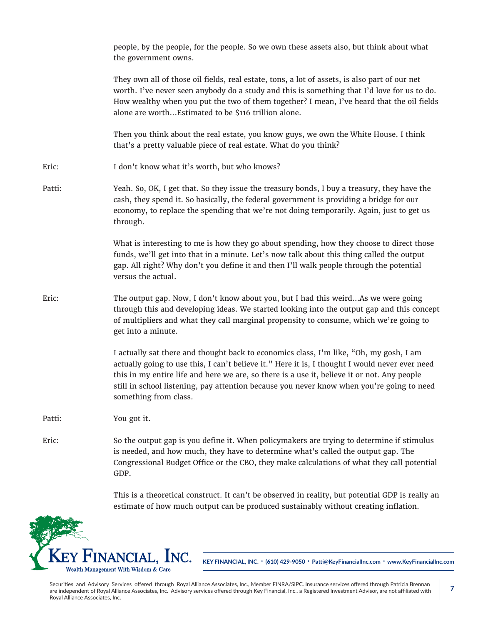|        | people, by the people, for the people. So we own these assets also, but think about what<br>the government owns.                                                                                                                                                                                                                                                                                              |
|--------|---------------------------------------------------------------------------------------------------------------------------------------------------------------------------------------------------------------------------------------------------------------------------------------------------------------------------------------------------------------------------------------------------------------|
|        | They own all of those oil fields, real estate, tons, a lot of assets, is also part of our net<br>worth. I've never seen anybody do a study and this is something that I'd love for us to do.<br>How wealthy when you put the two of them together? I mean, I've heard that the oil fields<br>alone are worthEstimated to be \$116 trillion alone.                                                             |
|        | Then you think about the real estate, you know guys, we own the White House. I think<br>that's a pretty valuable piece of real estate. What do you think?                                                                                                                                                                                                                                                     |
| Eric:  | I don't know what it's worth, but who knows?                                                                                                                                                                                                                                                                                                                                                                  |
| Patti: | Yeah. So, OK, I get that. So they issue the treasury bonds, I buy a treasury, they have the<br>cash, they spend it. So basically, the federal government is providing a bridge for our<br>economy, to replace the spending that we're not doing temporarily. Again, just to get us<br>through.                                                                                                                |
|        | What is interesting to me is how they go about spending, how they choose to direct those<br>funds, we'll get into that in a minute. Let's now talk about this thing called the output<br>gap. All right? Why don't you define it and then I'll walk people through the potential<br>versus the actual.                                                                                                        |
| Eric:  | The output gap. Now, I don't know about you, but I had this weirdAs we were going<br>through this and developing ideas. We started looking into the output gap and this concept<br>of multipliers and what they call marginal propensity to consume, which we're going to<br>get into a minute.                                                                                                               |
|        | I actually sat there and thought back to economics class, I'm like, "Oh, my gosh, I am<br>actually going to use this, I can't believe it." Here it is, I thought I would never ever need<br>this in my entire life and here we are, so there is a use it, believe it or not. Any people<br>still in school listening, pay attention because you never know when you're going to need<br>something from class. |
| Patti: | You got it.                                                                                                                                                                                                                                                                                                                                                                                                   |
| Eric:  | So the output gap is you define it. When policymakers are trying to determine if stimulus<br>is needed, and how much, they have to determine what's called the output gap. The<br>Congressional Budget Office or the CBO, they make calculations of what they call potential<br>GDP.                                                                                                                          |
|        | This is a theoretical construct. It can't be observed in reality, but potential GDP is really an<br>estimate of how much output can be produced sustainably without creating inflation.                                                                                                                                                                                                                       |

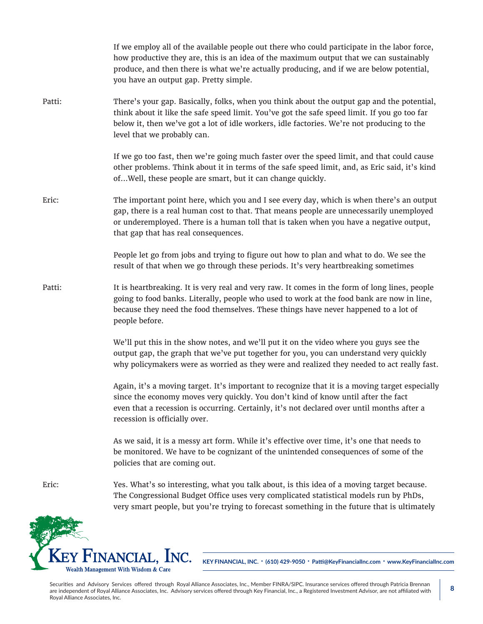If we employ all of the available people out there who could participate in the labor force, how productive they are, this is an idea of the maximum output that we can sustainably produce, and then there is what we're actually producing, and if we are below potential, you have an output gap. Pretty simple. Patti: There's your gap. Basically, folks, when you think about the output gap and the potential, think about it like the safe speed limit. You've got the safe speed limit. If you go too far below it, then we've got a lot of idle workers, idle factories. We're not producing to the level that we probably can. If we go too fast, then we're going much faster over the speed limit, and that could cause other problems. Think about it in terms of the safe speed limit, and, as Eric said, it's kind of...Well, these people are smart, but it can change quickly. Eric: The important point here, which you and I see every day, which is when there's an output gap, there is a real human cost to that. That means people are unnecessarily unemployed or underemployed. There is a human toll that is taken when you have a negative output, that gap that has real consequences. People let go from jobs and trying to figure out how to plan and what to do. We see the result of that when we go through these periods. It's very heartbreaking sometimes Patti: It is heartbreaking. It is very real and very raw. It comes in the form of long lines, people going to food banks. Literally, people who used to work at the food bank are now in line, because they need the food themselves. These things have never happened to a lot of people before. We'll put this in the show notes, and we'll put it on the video where you guys see the output gap, the graph that we've put together for you, you can understand very quickly why policymakers were as worried as they were and realized they needed to act really fast. Again, it's a moving target. It's important to recognize that it is a moving target especially since the economy moves very quickly. You don't kind of know until after the fact even that a recession is occurring. Certainly, it's not declared over until months after a recession is officially over. As we said, it is a messy art form. While it's effective over time, it's one that needs to be monitored. We have to be cognizant of the unintended consequences of some of the policies that are coming out. Eric: Yes. What's so interesting, what you talk about, is this idea of a moving target because. The Congressional Budget Office uses very complicated statistical models run by PhDs, very smart people, but you're trying to forecast something in the future that is ultimately

**KEY FINANCIAL, INC. • (610) 429-9050 • Patti@KeyFinancialInc.com • www.KeyFinancialInc.com**

Securities and Advisory Services offered through Royal Alliance Associates, Inc., Member FINRA/SIPC. Insurance services offered through Patricia Brennan are independent of Royal Alliance Associates, Inc. Advisory services offered through Key Financial, Inc., a Registered Investment Advisor, are not affiliated with Royal Alliance Associates, Inc.

NANCIAL, **I**NC.

Wealth Management With Wisdom & Care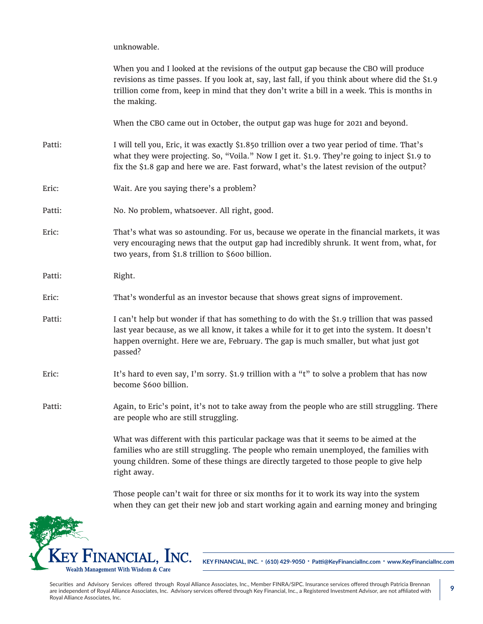unknowable.

|        | When you and I looked at the revisions of the output gap because the CBO will produce<br>revisions as time passes. If you look at, say, last fall, if you think about where did the \$1.9<br>trillion come from, keep in mind that they don't write a bill in a week. This is months in<br>the making. |
|--------|--------------------------------------------------------------------------------------------------------------------------------------------------------------------------------------------------------------------------------------------------------------------------------------------------------|
|        | When the CBO came out in October, the output gap was huge for 2021 and beyond.                                                                                                                                                                                                                         |
| Patti: | I will tell you, Eric, it was exactly \$1.850 trillion over a two year period of time. That's<br>what they were projecting. So, "Voila." Now I get it. \$1.9. They're going to inject \$1.9 to<br>fix the \$1.8 gap and here we are. Fast forward, what's the latest revision of the output?           |
| Eric:  | Wait. Are you saying there's a problem?                                                                                                                                                                                                                                                                |
| Patti: | No. No problem, whatsoever. All right, good.                                                                                                                                                                                                                                                           |
| Eric:  | That's what was so astounding. For us, because we operate in the financial markets, it was<br>very encouraging news that the output gap had incredibly shrunk. It went from, what, for<br>two years, from \$1.8 trillion to \$600 billion.                                                             |
| Patti: | Right.                                                                                                                                                                                                                                                                                                 |
| Eric:  | That's wonderful as an investor because that shows great signs of improvement.                                                                                                                                                                                                                         |
| Patti: | I can't help but wonder if that has something to do with the \$1.9 trillion that was passed<br>last year because, as we all know, it takes a while for it to get into the system. It doesn't<br>happen overnight. Here we are, February. The gap is much smaller, but what just got<br>passed?         |
| Eric:  | It's hard to even say, I'm sorry. \$1.9 trillion with a "t" to solve a problem that has now<br>become \$600 billion.                                                                                                                                                                                   |
| Patti: | Again, to Eric's point, it's not to take away from the people who are still struggling. There<br>are people who are still struggling.                                                                                                                                                                  |
|        | What was different with this particular package was that it seems to be aimed at the<br>families who are still struggling. The people who remain unemployed, the families with<br>young children. Some of these things are directly targeted to those people to give help<br>right away.               |

Those people can't wait for three or six months for it to work its way into the system when they can get their new job and start working again and earning money and bringing



**KEY FINANCIAL, INC. • (610) 429-9050 • Patti@KeyFinancialInc.com • www.KeyFinancialInc.com**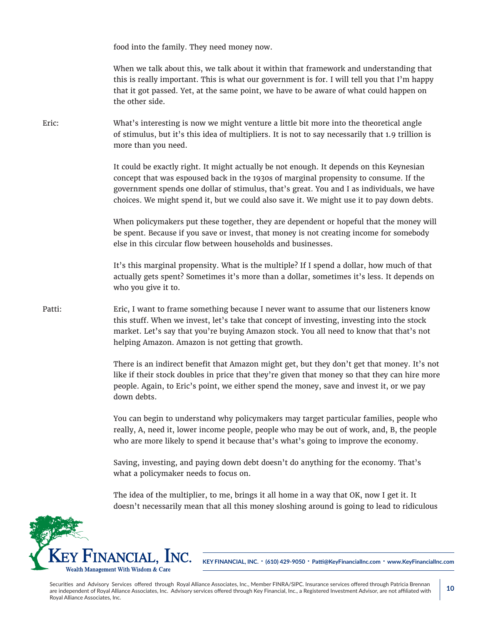food into the family. They need money now.

When we talk about this, we talk about it within that framework and understanding that this is really important. This is what our government is for. I will tell you that I'm happy that it got passed. Yet, at the same point, we have to be aware of what could happen on the other side.

Eric: What's interesting is now we might venture a little bit more into the theoretical angle of stimulus, but it's this idea of multipliers. It is not to say necessarily that 1.9 trillion is more than you need.

> It could be exactly right. It might actually be not enough. It depends on this Keynesian concept that was espoused back in the 1930s of marginal propensity to consume. If the government spends one dollar of stimulus, that's great. You and I as individuals, we have choices. We might spend it, but we could also save it. We might use it to pay down debts.

> When policymakers put these together, they are dependent or hopeful that the money will be spent. Because if you save or invest, that money is not creating income for somebody else in this circular flow between households and businesses.

> It's this marginal propensity. What is the multiple? If I spend a dollar, how much of that actually gets spent? Sometimes it's more than a dollar, sometimes it's less. It depends on who you give it to.

Patti: Eric, I want to frame something because I never want to assume that our listeners know this stuff. When we invest, let's take that concept of investing, investing into the stock market. Let's say that you're buying Amazon stock. You all need to know that that's not helping Amazon. Amazon is not getting that growth.

> There is an indirect benefit that Amazon might get, but they don't get that money. It's not like if their stock doubles in price that they're given that money so that they can hire more people. Again, to Eric's point, we either spend the money, save and invest it, or we pay down debts.

> You can begin to understand why policymakers may target particular families, people who really, A, need it, lower income people, people who may be out of work, and, B, the people who are more likely to spend it because that's what's going to improve the economy.

Saving, investing, and paying down debt doesn't do anything for the economy. That's what a policymaker needs to focus on.

The idea of the multiplier, to me, brings it all home in a way that OK, now I get it. It doesn't necessarily mean that all this money sloshing around is going to lead to ridiculous



**KEY FINANCIAL, INC. • (610) 429-9050 • Patti@KeyFinancialInc.com • www.KeyFinancialInc.com**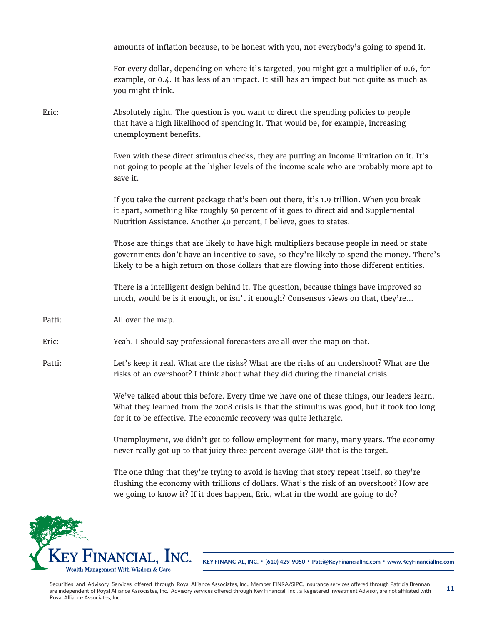|        | amounts of inflation because, to be honest with you, not everybody's going to spend it.                                                                                                                                                                                                |
|--------|----------------------------------------------------------------------------------------------------------------------------------------------------------------------------------------------------------------------------------------------------------------------------------------|
|        | For every dollar, depending on where it's targeted, you might get a multiplier of 0.6, for<br>example, or 0.4. It has less of an impact. It still has an impact but not quite as much as<br>you might think.                                                                           |
| Eric:  | Absolutely right. The question is you want to direct the spending policies to people<br>that have a high likelihood of spending it. That would be, for example, increasing<br>unemployment benefits.                                                                                   |
|        | Even with these direct stimulus checks, they are putting an income limitation on it. It's<br>not going to people at the higher levels of the income scale who are probably more apt to<br>save it.                                                                                     |
|        | If you take the current package that's been out there, it's 1.9 trillion. When you break<br>it apart, something like roughly 50 percent of it goes to direct aid and Supplemental<br>Nutrition Assistance. Another 40 percent, I believe, goes to states.                              |
|        | Those are things that are likely to have high multipliers because people in need or state<br>governments don't have an incentive to save, so they're likely to spend the money. There's<br>likely to be a high return on those dollars that are flowing into those different entities. |
|        | There is a intelligent design behind it. The question, because things have improved so<br>much, would be is it enough, or isn't it enough? Consensus views on that, they're                                                                                                            |
| Patti: | All over the map.                                                                                                                                                                                                                                                                      |
| Eric:  | Yeah. I should say professional forecasters are all over the map on that.                                                                                                                                                                                                              |
| Patti: | Let's keep it real. What are the risks? What are the risks of an undershoot? What are the<br>risks of an overshoot? I think about what they did during the financial crisis.                                                                                                           |
|        | We've talked about this before. Every time we have one of these things, our leaders learn.<br>What they learned from the 2008 crisis is that the stimulus was good, but it took too long<br>for it to be effective. The economic recovery was quite lethargic.                         |
|        | Unemployment, we didn't get to follow employment for many, many years. The economy<br>never really got up to that juicy three percent average GDP that is the target.                                                                                                                  |
|        |                                                                                                                                                                                                                                                                                        |

The one thing that they're trying to avoid is having that story repeat itself, so they're flushing the economy with trillions of dollars. What's the risk of an overshoot? How are we going to know it? If it does happen, Eric, what in the world are going to do?



**KEY FINANCIAL, INC. • (610) 429-9050 • Patti@KeyFinancialInc.com • www.KeyFinancialInc.com**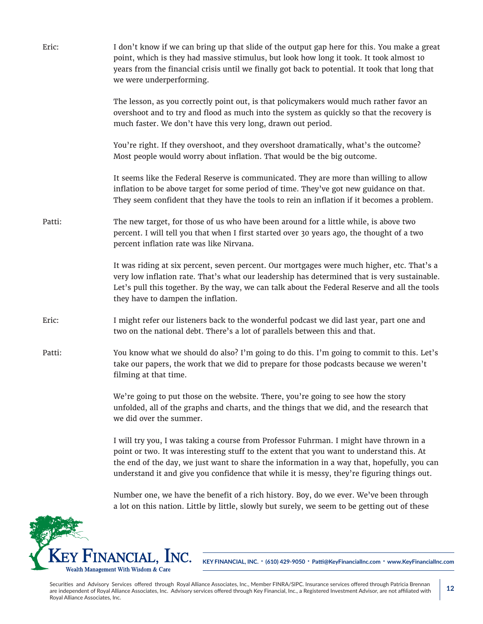| Eric:  | I don't know if we can bring up that slide of the output gap here for this. You make a great<br>point, which is they had massive stimulus, but look how long it took. It took almost 10<br>years from the financial crisis until we finally got back to potential. It took that long that<br>we were underperforming.                                                            |
|--------|----------------------------------------------------------------------------------------------------------------------------------------------------------------------------------------------------------------------------------------------------------------------------------------------------------------------------------------------------------------------------------|
|        | The lesson, as you correctly point out, is that policymakers would much rather favor an<br>overshoot and to try and flood as much into the system as quickly so that the recovery is<br>much faster. We don't have this very long, drawn out period.                                                                                                                             |
|        | You're right. If they overshoot, and they overshoot dramatically, what's the outcome?<br>Most people would worry about inflation. That would be the big outcome.                                                                                                                                                                                                                 |
|        | It seems like the Federal Reserve is communicated. They are more than willing to allow<br>inflation to be above target for some period of time. They've got new guidance on that.<br>They seem confident that they have the tools to rein an inflation if it becomes a problem.                                                                                                  |
| Patti: | The new target, for those of us who have been around for a little while, is above two<br>percent. I will tell you that when I first started over 30 years ago, the thought of a two<br>percent inflation rate was like Nirvana.                                                                                                                                                  |
|        | It was riding at six percent, seven percent. Our mortgages were much higher, etc. That's a<br>very low inflation rate. That's what our leadership has determined that is very sustainable.<br>Let's pull this together. By the way, we can talk about the Federal Reserve and all the tools<br>they have to dampen the inflation.                                                |
| Eric:  | I might refer our listeners back to the wonderful podcast we did last year, part one and<br>two on the national debt. There's a lot of parallels between this and that.                                                                                                                                                                                                          |
| Patti: | You know what we should do also? I'm going to do this. I'm going to commit to this. Let's<br>take our papers, the work that we did to prepare for those podcasts because we weren't<br>filming at that time.                                                                                                                                                                     |
|        | We're going to put those on the website. There, you're going to see how the story<br>unfolded, all of the graphs and charts, and the things that we did, and the research that<br>we did over the summer.                                                                                                                                                                        |
|        | I will try you, I was taking a course from Professor Fuhrman. I might have thrown in a<br>point or two. It was interesting stuff to the extent that you want to understand this. At<br>the end of the day, we just want to share the information in a way that, hopefully, you can<br>understand it and give you confidence that while it is messy, they're figuring things out. |
|        | Number one, we have the benefit of a rich history. Boy, do we ever. We've been through<br>a lot on this nation. Little by little, slowly but surely, we seem to be getting out of these                                                                                                                                                                                          |

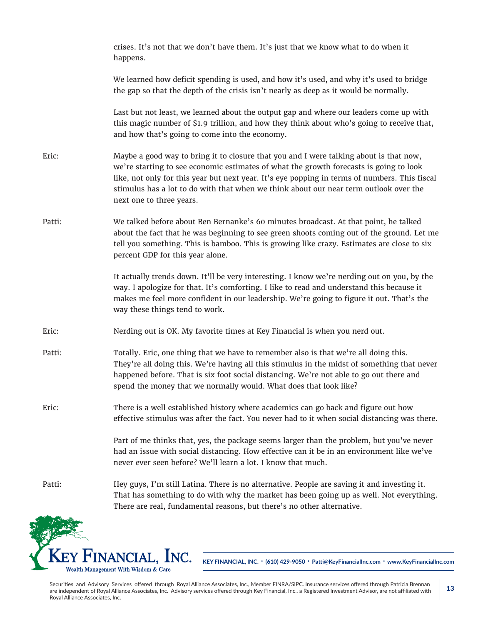|        | crises. It's not that we don't have them. It's just that we know what to do when it<br>happens.                                                                                                                                                                                                                                                                                                        |
|--------|--------------------------------------------------------------------------------------------------------------------------------------------------------------------------------------------------------------------------------------------------------------------------------------------------------------------------------------------------------------------------------------------------------|
|        | We learned how deficit spending is used, and how it's used, and why it's used to bridge<br>the gap so that the depth of the crisis isn't nearly as deep as it would be normally.                                                                                                                                                                                                                       |
|        | Last but not least, we learned about the output gap and where our leaders come up with<br>this magic number of \$1.9 trillion, and how they think about who's going to receive that,<br>and how that's going to come into the economy.                                                                                                                                                                 |
| Eric:  | Maybe a good way to bring it to closure that you and I were talking about is that now,<br>we're starting to see economic estimates of what the growth forecasts is going to look<br>like, not only for this year but next year. It's eye popping in terms of numbers. This fiscal<br>stimulus has a lot to do with that when we think about our near term outlook over the<br>next one to three years. |
| Patti: | We talked before about Ben Bernanke's 60 minutes broadcast. At that point, he talked<br>about the fact that he was beginning to see green shoots coming out of the ground. Let me<br>tell you something. This is bamboo. This is growing like crazy. Estimates are close to six<br>percent GDP for this year alone.                                                                                    |
|        | It actually trends down. It'll be very interesting. I know we're nerding out on you, by the<br>way. I apologize for that. It's comforting. I like to read and understand this because it<br>makes me feel more confident in our leadership. We're going to figure it out. That's the<br>way these things tend to work.                                                                                 |
| Eric:  | Nerding out is OK. My favorite times at Key Financial is when you nerd out.                                                                                                                                                                                                                                                                                                                            |
| Patti: | Totally. Eric, one thing that we have to remember also is that we're all doing this.<br>They're all doing this. We're having all this stimulus in the midst of something that never<br>happened before. That is six foot social distancing. We're not able to go out there and<br>spend the money that we normally would. What does that look like?                                                    |
| Eric:  | There is a well established history where academics can go back and figure out how<br>effective stimulus was after the fact. You never had to it when social distancing was there.                                                                                                                                                                                                                     |
|        | Part of me thinks that, yes, the package seems larger than the problem, but you've never<br>had an issue with social distancing. How effective can it be in an environment like we've<br>never ever seen before? We'll learn a lot. I know that much.                                                                                                                                                  |
| Patti: | Hey guys, I'm still Latina. There is no alternative. People are saving it and investing it.<br>That has something to do with why the market has been going up as well. Not everything.<br>There are real, fundamental reasons, but there's no other alternative.                                                                                                                                       |
|        |                                                                                                                                                                                                                                                                                                                                                                                                        |